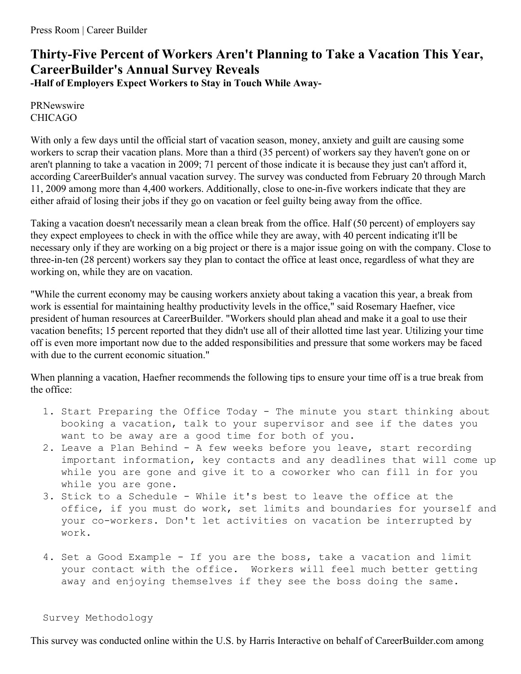## **Thirty-Five Percent of Workers Aren't Planning to Take a Vacation This Year, CareerBuilder's Annual Survey Reveals**

**-Half of Employers Expect Workers to Stay in Touch While Away-**

PRNewswire CHICAGO

With only a few days until the official start of vacation season, money, anxiety and guilt are causing some workers to scrap their vacation plans. More than a third (35 percent) of workers say they haven't gone on or aren't planning to take a vacation in 2009; 71 percent of those indicate it is because they just can't afford it, according CareerBuilder's annual vacation survey. The survey was conducted from February 20 through March 11, 2009 among more than 4,400 workers. Additionally, close to one-in-five workers indicate that they are either afraid of losing their jobs if they go on vacation or feel guilty being away from the office.

Taking a vacation doesn't necessarily mean a clean break from the office. Half (50 percent) of employers say they expect employees to check in with the office while they are away, with 40 percent indicating it'll be necessary only if they are working on a big project or there is a major issue going on with the company. Close to three-in-ten (28 percent) workers say they plan to contact the office at least once, regardless of what they are working on, while they are on vacation.

"While the current economy may be causing workers anxiety about taking a vacation this year, a break from work is essential for maintaining healthy productivity levels in the office," said Rosemary Haefner, vice president of human resources at CareerBuilder. "Workers should plan ahead and make it a goal to use their vacation benefits; 15 percent reported that they didn't use all of their allotted time last year. Utilizing your time off is even more important now due to the added responsibilities and pressure that some workers may be faced with due to the current economic situation."

When planning a vacation, Haefner recommends the following tips to ensure your time off is a true break from the office:

- 1. Start Preparing the Office Today The minute you start thinking about booking a vacation, talk to your supervisor and see if the dates you want to be away are a good time for both of you.
- 2. Leave a Plan Behind A few weeks before you leave, start recording important information, key contacts and any deadlines that will come up while you are gone and give it to a coworker who can fill in for you while you are gone.
- 3. Stick to a Schedule While it's best to leave the office at the office, if you must do work, set limits and boundaries for yourself and your co-workers. Don't let activities on vacation be interrupted by work.
- 4. Set a Good Example If you are the boss, take a vacation and limit your contact with the office. Workers will feel much better getting away and enjoying themselves if they see the boss doing the same.

Survey Methodology

This survey was conducted online within the U.S. by Harris Interactive on behalf of CareerBuilder.com among